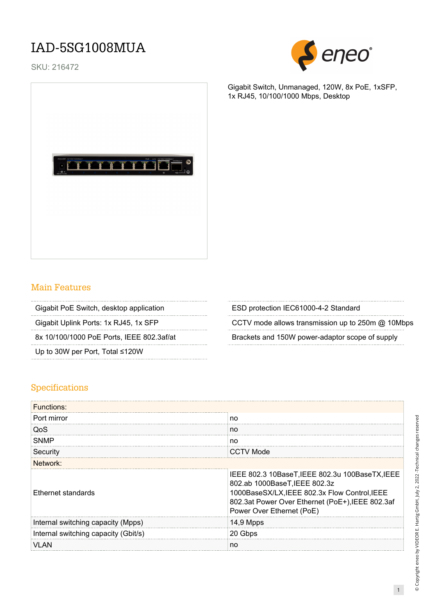## IAD-5SG1008MUA

SKU: 216472



Gigabit Switch, Unmanaged, 120W, 8x PoE, 1xSFP, 1x RJ45, 10/100/1000 Mbps, Desktop



## Main Features

Up to 30W per Port, Total ≤120W

Gigabit PoE Switch, desktop application **ESD** protection IEC61000-4-2 Standard

Gigabit Uplink Ports: 1x RJ45, 1x SFP CCTV mode allows transmission up to 250m @ 10Mbps

8x 10/100/1000 PoE Ports, IEEE 802.3af/at Brackets and 150W power-adaptor scope of supply

#### Specifications

| <b>Functions:</b>                    |                                                                                                                                                                                                                    |  |
|--------------------------------------|--------------------------------------------------------------------------------------------------------------------------------------------------------------------------------------------------------------------|--|
| Port mirror                          | no                                                                                                                                                                                                                 |  |
| QoS                                  | no                                                                                                                                                                                                                 |  |
| <b>SNMP</b>                          | no                                                                                                                                                                                                                 |  |
| Security                             | CCTV Mode                                                                                                                                                                                                          |  |
| Network:                             |                                                                                                                                                                                                                    |  |
| Ethernet standards                   | IEEE 802.3 10BaseT, IEEE 802.3u 100BaseTX, IEEE<br>802.ab 1000BaseT, IEEE 802.3z<br>1000BaseSX/LX, IEEE 802.3x Flow Control, IEEE<br>802.3at Power Over Ethernet (PoE+), IEEE 802.3af<br>Power Over Ethernet (PoE) |  |
| Internal switching capacity (Mpps)   | 14,9 Mpps                                                                                                                                                                                                          |  |
| Internal switching capacity (Gbit/s) | 20 Gbps                                                                                                                                                                                                            |  |
|                                      | no                                                                                                                                                                                                                 |  |